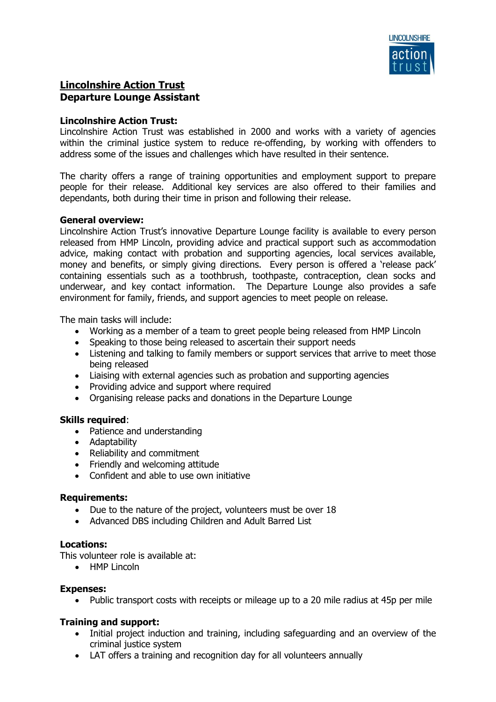

# **Lincolnshire Action Trust Departure Lounge Assistant**

#### **Lincolnshire Action Trust:**

Lincolnshire Action Trust was established in 2000 and works with a variety of agencies within the criminal justice system to reduce re-offending, by working with offenders to address some of the issues and challenges which have resulted in their sentence.

The charity offers a range of training opportunities and employment support to prepare people for their release. Additional key services are also offered to their families and dependants, both during their time in prison and following their release.

#### **General overview:**

Lincolnshire Action Trust's innovative Departure Lounge facility is available to every person released from HMP Lincoln, providing advice and practical support such as accommodation advice, making contact with probation and supporting agencies, local services available, money and benefits, or simply giving directions. Every person is offered a 'release pack' containing essentials such as a toothbrush, toothpaste, contraception, clean socks and underwear, and key contact information. The Departure Lounge also provides a safe environment for family, friends, and support agencies to meet people on release.

The main tasks will include:

- Working as a member of a team to greet people being released from HMP Lincoln
- Speaking to those being released to ascertain their support needs
- Listening and talking to family members or support services that arrive to meet those being released
- Liaising with external agencies such as probation and supporting agencies
- Providing advice and support where required
- Organising release packs and donations in the Departure Lounge

## **Skills required**:

- Patience and understanding
- Adaptability
- Reliability and commitment
- Friendly and welcoming attitude
- Confident and able to use own initiative

#### **Requirements:**

- Due to the nature of the project, volunteers must be over 18
- Advanced DBS including Children and Adult Barred List

#### **Locations:**

This volunteer role is available at:

• HMP Lincoln

#### **Expenses:**

• Public transport costs with receipts or mileage up to a 20 mile radius at 45p per mile

## **Training and support:**

- Initial project induction and training, including safeguarding and an overview of the criminal justice system
- LAT offers a training and recognition day for all volunteers annually